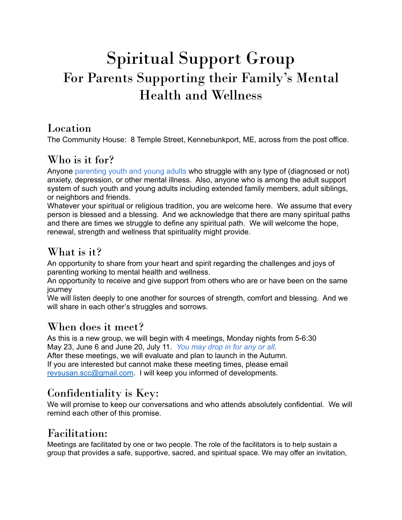# Spiritual Support Group For Parents Supporting their Family 's Mental Health and Wellness

#### Location

The Community House: 8 Temple Street, Kennebunkport, ME, across from the post office.

# Who is it for?

Anyone parenting youth and young adults who struggle with any type of (diagnosed or not) anxiety, depression, or other mental illness. Also, anyone who is among the adult support system of such youth and young adults including extended family members, adult siblings, or neighbors and friends.

Whatever your spiritual or religious tradition, you are welcome here. We assume that every person is blessed and a blessing. And we acknowledge that there are many spiritual paths and there are times we struggle to define any spiritual path. We will welcome the hope, renewal, strength and wellness that spirituality might provide.

# What is it?

An opportunity to share from your heart and spirit regarding the challenges and joys of parenting working to mental health and wellness.

An opportunity to receive and give support from others who are or have been on the same journey

We will listen deeply to one another for sources of strength, comfort and blessing. And we will share in each other's struggles and sorrows.

### When does it meet?

As this is a new group, we will begin with 4 meetings, Monday nights from 5-6:30 May 23, June 6 and June 20, July 11. *You may drop in for any or all.*

After these meetings, we will evaluate and plan to launch in the Autumn. If you are interested but cannot make these meeting times, please email [revsusan.scc@gmail.com](mailto:revsusan.scc@gmail.com). I will keep you informed of developments.

# Confidentiality is Key:

We will promise to keep our conversations and who attends absolutely confidential. We will remind each other of this promise.

### Facilitation:

Meetings are facilitated by one or two people. The role of the facilitators is to help sustain a group that provides a safe, supportive, sacred, and spiritual space. We may offer an invitation,